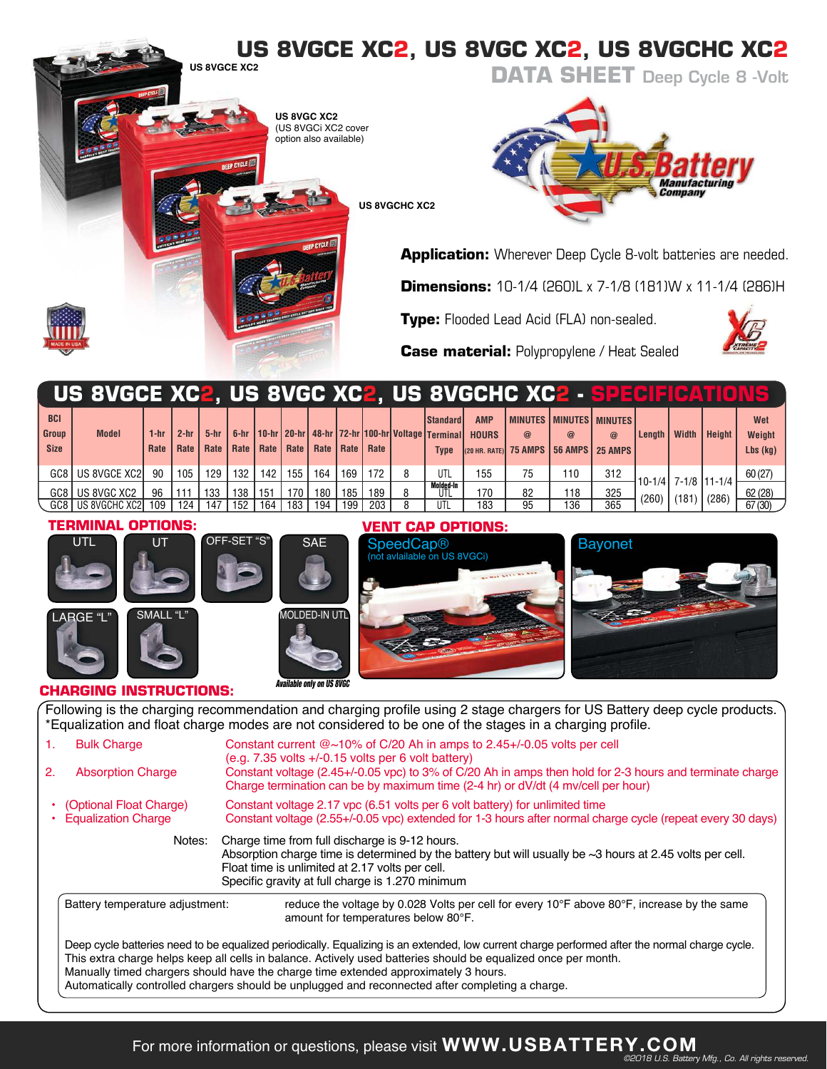## **US 8VGCE XC2, US 8VGC XC2, US 8VGCHC XC2 US 8VGCE XC2**

**DATA SHEET** Deep Cycle 8 -Volt

**US 8VGC XC2** (US 8VGCi XC2 cover option also available)



**Application:** Wherever Deep Cycle 8-volt batteries are needed.

**Dimensions:** 10-1/4 (260)L x 7-1/8 (181)W x 11-1/4 (286)H

**Type:** Flooded Lead Acid (FLA) non-sealed.



**Case material:** Polypropylene / Heat Sealed

|                                           | <u> US 8VGCE XC2, US 8VGC XC2, US 8VGCHC XC2 - SPECIFICATIONS</u> |              |                |                |                |            |              |            |            |                                  |                                                                                                      |                            |                                                                                           |            |            |                               |              |               |                                 |
|-------------------------------------------|-------------------------------------------------------------------|--------------|----------------|----------------|----------------|------------|--------------|------------|------------|----------------------------------|------------------------------------------------------------------------------------------------------|----------------------------|-------------------------------------------------------------------------------------------|------------|------------|-------------------------------|--------------|---------------|---------------------------------|
| <b>BCI</b><br><b>Group</b><br><b>Size</b> | <b>Model</b>                                                      | 1-hr<br>Rate | $2-hr$<br>Rate | $5-hr$<br>Rate | $6-hr$<br>Rate |            |              |            |            | Rate   Rate   Rate   Rate   Rate | <b>IStandard I</b><br>  10-hr   20-hr   48-hr   72-hr   100-hr   Voltage   Terminal  <br><b>Type</b> | <b>AMP</b><br><b>HOURS</b> | <b>MINUTES MINUTES MINUTES</b><br>$\omega$<br>I(20 HR. RATE) 75 AMPS 156 AMPS 1 25 AMPS 1 | $\omega$   | @          | Lenath                        | <b>Width</b> | <b>Height</b> | Wet<br>Weight<br>$Lbs$ ( $kq$ ) |
|                                           | GC8 I US 8VGCE XC2I                                               | 90           | 105            | 129            | 132            | 142        | 155          | 164        | 169        | 172                              | UTL                                                                                                  | 155                        | 75                                                                                        | 110        | 312        |                               |              |               | 60(27)                          |
|                                           | GC8 I US 8VGC XC2<br>GC8 I US 8VGCHC XC2  109                     | 96           | 111<br>124 I   | 133<br>147     | 138<br>152     | 151<br>164 | 170 l<br>183 | 180<br>194 | 185<br>199 | 189<br>203                       | Molded-In<br>UTL<br>UTL                                                                              | 170<br>183                 | 82<br>95                                                                                  | 118<br>136 | 325<br>365 | 10-1/4 7-1/8 111-1/4<br>(260) | (181)        | (286)         | 62(28)<br>67 (30)               |

**US 8VGCHC XC2**

#### **TERMINAL OPTIONS:**

ABGF

UTL UT OFF-SET

SMALL "L"

# **VENT CAP OPTIONS:**





#### **CHARGING INSTRUCTIONS:**

Available only on US 8VGC

SAE

Following is the charging recommendation and charging profile using 2 stage chargers for US Battery deep cycle products. \*Equalization and float charge modes are not considered to be one of the stages in a charging profile.

| 1.<br>2.                                                                                                                                                                                                                                                                    | <b>Bulk Charge</b><br><b>Absorption Charge</b>                                                                                                                                                                                                                                                                                                                                                                                                              | Constant current $@{\sim}10\%$ of C/20 Ah in amps to 2.45+/-0.05 volts per cell<br>$(e.g. 7.35$ volts $+/-0.15$ volts per 6 volt battery)<br>Constant voltage (2.45+/-0.05 vpc) to 3% of C/20 Ah in amps then hold for 2-3 hours and terminate charge<br>Charge termination can be by maximum time (2-4 hr) or dV/dt (4 mv/cell per hour) |  |  |  |  |  |  |  |  |
|-----------------------------------------------------------------------------------------------------------------------------------------------------------------------------------------------------------------------------------------------------------------------------|-------------------------------------------------------------------------------------------------------------------------------------------------------------------------------------------------------------------------------------------------------------------------------------------------------------------------------------------------------------------------------------------------------------------------------------------------------------|-------------------------------------------------------------------------------------------------------------------------------------------------------------------------------------------------------------------------------------------------------------------------------------------------------------------------------------------|--|--|--|--|--|--|--|--|
|                                                                                                                                                                                                                                                                             | • (Optional Float Charge)<br><b>Equalization Charge</b>                                                                                                                                                                                                                                                                                                                                                                                                     | Constant voltage 2.17 ypc (6.51 yolts per 6 yolt battery) for unlimited time<br>Constant voltage (2.55+/-0.05 vpc) extended for 1-3 hours after normal charge cycle (repeat every 30 days)                                                                                                                                                |  |  |  |  |  |  |  |  |
| Charge time from full discharge is 9-12 hours.<br>Notes:<br>Absorption charge time is determined by the battery but will usually be ~3 hours at 2.45 volts per cell.<br>Float time is unlimited at 2.17 volts per cell.<br>Specific gravity at full charge is 1.270 minimum |                                                                                                                                                                                                                                                                                                                                                                                                                                                             |                                                                                                                                                                                                                                                                                                                                           |  |  |  |  |  |  |  |  |
|                                                                                                                                                                                                                                                                             | Battery temperature adjustment:                                                                                                                                                                                                                                                                                                                                                                                                                             | reduce the voltage by 0.028 Volts per cell for every $10^{\circ}$ F above 80 $^{\circ}$ F, increase by the same<br>amount for temperatures below 80°F.                                                                                                                                                                                    |  |  |  |  |  |  |  |  |
|                                                                                                                                                                                                                                                                             | Deep cycle batteries need to be equalized periodically. Equalizing is an extended, low current charge performed after the normal charge cycle.<br>This extra charge helps keep all cells in balance. Actively used batteries should be equalized once per month.<br>Manually timed chargers should have the charge time extended approximately 3 hours.<br>Automatically controlled chargers should be unplugged and reconnected after completing a charge. |                                                                                                                                                                                                                                                                                                                                           |  |  |  |  |  |  |  |  |